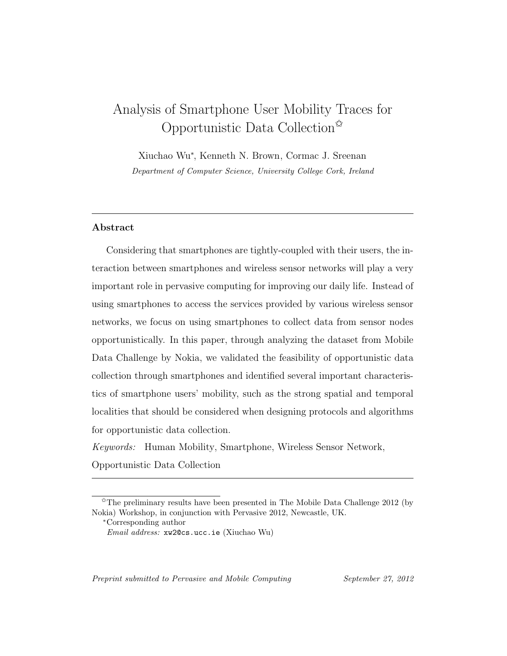# Analysis of Smartphone User Mobility Traces for Opportunistic Data Collection $\mathbb{X}$

Xiuchao Wu<sup>∗</sup> , Kenneth N. Brown, Cormac J. Sreenan Department of Computer Science, University College Cork, Ireland

# Abstract

Considering that smartphones are tightly-coupled with their users, the interaction between smartphones and wireless sensor networks will play a very important role in pervasive computing for improving our daily life. Instead of using smartphones to access the services provided by various wireless sensor networks, we focus on using smartphones to collect data from sensor nodes opportunistically. In this paper, through analyzing the dataset from Mobile Data Challenge by Nokia, we validated the feasibility of opportunistic data collection through smartphones and identified several important characteristics of smartphone users' mobility, such as the strong spatial and temporal localities that should be considered when designing protocols and algorithms for opportunistic data collection.

Keywords: Human Mobility, Smartphone, Wireless Sensor Network,

Opportunistic Data Collection

Preprint submitted to Pervasive and Mobile Computing September 27, 2012

 $\hat{\tau}$ The preliminary results have been presented in The Mobile Data Challenge 2012 (by Nokia) Workshop, in conjunction with Pervasive 2012, Newcastle, UK.

<sup>∗</sup>Corresponding author

Email address: xw2@cs.ucc.ie (Xiuchao Wu)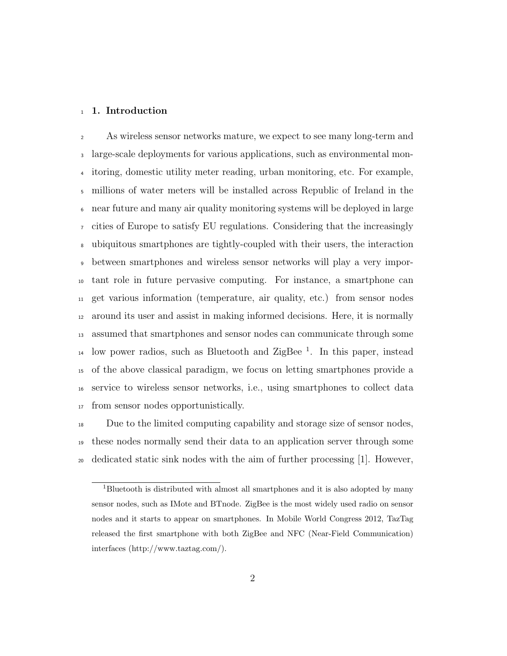#### 1. Introduction

As wireless sensor networks mature, we expect to see many long-term and large-scale deployments for various applications, such as environmental mon- itoring, domestic utility meter reading, urban monitoring, etc. For example, millions of water meters will be installed across Republic of Ireland in the near future and many air quality monitoring systems will be deployed in large cities of Europe to satisfy EU regulations. Considering that the increasingly ubiquitous smartphones are tightly-coupled with their users, the interaction between smartphones and wireless sensor networks will play a very impor- tant role in future pervasive computing. For instance, a smartphone can get various information (temperature, air quality, etc.) from sensor nodes around its user and assist in making informed decisions. Here, it is normally assumed that smartphones and sensor nodes can communicate through some <sup>14</sup> low power radios, such as Bluetooth and ZigBee<sup>1</sup>. In this paper, instead of the above classical paradigm, we focus on letting smartphones provide a service to wireless sensor networks, i.e., using smartphones to collect data from sensor nodes opportunistically.

 Due to the limited computing capability and storage size of sensor nodes, these nodes normally send their data to an application server through some dedicated static sink nodes with the aim of further processing [1]. However,

Bluetooth is distributed with almost all smartphones and it is also adopted by many sensor nodes, such as IMote and BTnode. ZigBee is the most widely used radio on sensor nodes and it starts to appear on smartphones. In Mobile World Congress 2012, TazTag released the first smartphone with both ZigBee and NFC (Near-Field Communication) interfaces (http://www.taztag.com/).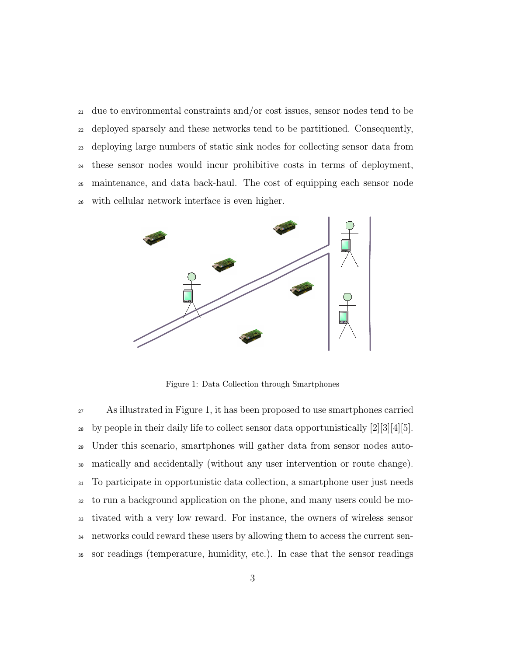due to environmental constraints and/or cost issues, sensor nodes tend to be deployed sparsely and these networks tend to be partitioned. Consequently, deploying large numbers of static sink nodes for collecting sensor data from these sensor nodes would incur prohibitive costs in terms of deployment, maintenance, and data back-haul. The cost of equipping each sensor node with cellular network interface is even higher.



Figure 1: Data Collection through Smartphones

 As illustrated in Figure 1, it has been proposed to use smartphones carried 28 by people in their daily life to collect sensor data opportunistically  $[2][3][4][5]$ . Under this scenario, smartphones will gather data from sensor nodes auto- matically and accidentally (without any user intervention or route change). To participate in opportunistic data collection, a smartphone user just needs to run a background application on the phone, and many users could be mo- tivated with a very low reward. For instance, the owners of wireless sensor networks could reward these users by allowing them to access the current sen-sor readings (temperature, humidity, etc.). In case that the sensor readings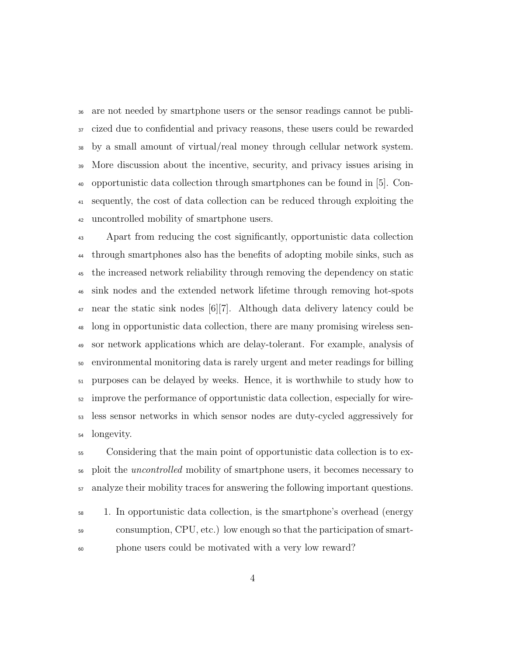are not needed by smartphone users or the sensor readings cannot be publi- cized due to confidential and privacy reasons, these users could be rewarded by a small amount of virtual/real money through cellular network system. More discussion about the incentive, security, and privacy issues arising in opportunistic data collection through smartphones can be found in [5]. Con- sequently, the cost of data collection can be reduced through exploiting the uncontrolled mobility of smartphone users.

 Apart from reducing the cost significantly, opportunistic data collection through smartphones also has the benefits of adopting mobile sinks, such as the increased network reliability through removing the dependency on static sink nodes and the extended network lifetime through removing hot-spots near the static sink nodes [6][7]. Although data delivery latency could be long in opportunistic data collection, there are many promising wireless sen- sor network applications which are delay-tolerant. For example, analysis of environmental monitoring data is rarely urgent and meter readings for billing purposes can be delayed by weeks. Hence, it is worthwhile to study how to improve the performance of opportunistic data collection, especially for wire- less sensor networks in which sensor nodes are duty-cycled aggressively for longevity.

 Considering that the main point of opportunistic data collection is to ex- ploit the uncontrolled mobility of smartphone users, it becomes necessary to analyze their mobility traces for answering the following important questions.

 1. In opportunistic data collection, is the smartphone's overhead (energy consumption, CPU, etc.) low enough so that the participation of smart-phone users could be motivated with a very low reward?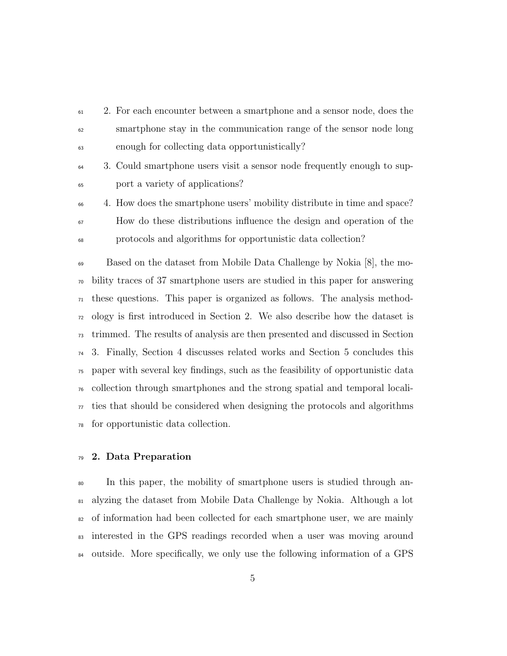- 2. For each encounter between a smartphone and a sensor node, does the smartphone stay in the communication range of the sensor node long enough for collecting data opportunistically?
- 3. Could smartphone users visit a sensor node frequently enough to sup-port a variety of applications?
- 4. How does the smartphone users' mobility distribute in time and space? How do these distributions influence the design and operation of the protocols and algorithms for opportunistic data collection?

 Based on the dataset from Mobile Data Challenge by Nokia [8], the mo- bility traces of 37 smartphone users are studied in this paper for answering  $\pi$  these questions. This paper is organized as follows. The analysis method- ology is first introduced in Section 2. We also describe how the dataset is trimmed. The results of analysis are then presented and discussed in Section 3. Finally, Section 4 discusses related works and Section 5 concludes this paper with several key findings, such as the feasibility of opportunistic data collection through smartphones and the strong spatial and temporal locali- $\pi$  ties that should be considered when designing the protocols and algorithms for opportunistic data collection.

# 2. Data Preparation

 In this paper, the mobility of smartphone users is studied through an- alyzing the dataset from Mobile Data Challenge by Nokia. Although a lot of information had been collected for each smartphone user, we are mainly interested in the GPS readings recorded when a user was moving around outside. More specifically, we only use the following information of a GPS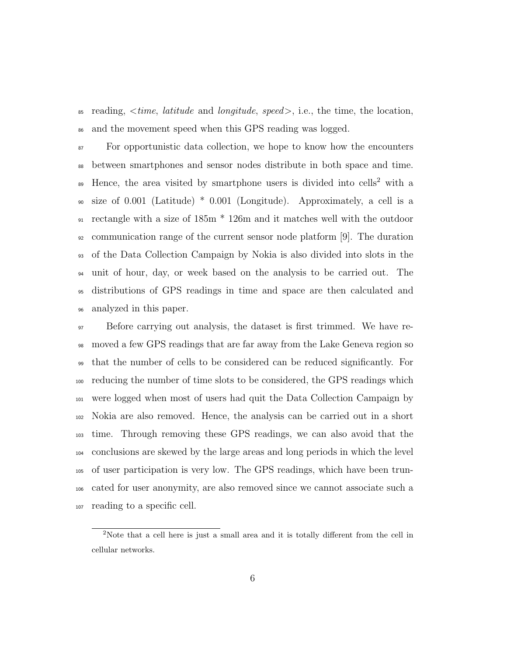$\text{as}$  reading,  $\text{time}$ , *latitude* and *longitude*, speed, i.e., the time, the location, and the movement speed when this GPS reading was logged.

 For opportunistic data collection, we hope to know how the encounters between smartphones and sensor nodes distribute in both space and time. <sup>89</sup> Hence, the area visited by smartphone users is divided into cells<sup>2</sup> with a size of 0.001 (Latitude) \* 0.001 (Longitude). Approximately, a cell is a rectangle with a size of 185m \* 126m and it matches well with the outdoor communication range of the current sensor node platform [9]. The duration of the Data Collection Campaign by Nokia is also divided into slots in the unit of hour, day, or week based on the analysis to be carried out. The distributions of GPS readings in time and space are then calculated and analyzed in this paper.

 Before carrying out analysis, the dataset is first trimmed. We have re- moved a few GPS readings that are far away from the Lake Geneva region so that the number of cells to be considered can be reduced significantly. For reducing the number of time slots to be considered, the GPS readings which were logged when most of users had quit the Data Collection Campaign by Nokia are also removed. Hence, the analysis can be carried out in a short time. Through removing these GPS readings, we can also avoid that the conclusions are skewed by the large areas and long periods in which the level of user participation is very low. The GPS readings, which have been trun- cated for user anonymity, are also removed since we cannot associate such a reading to a specific cell.

<sup>&</sup>lt;sup>2</sup>Note that a cell here is just a small area and it is totally different from the cell in cellular networks.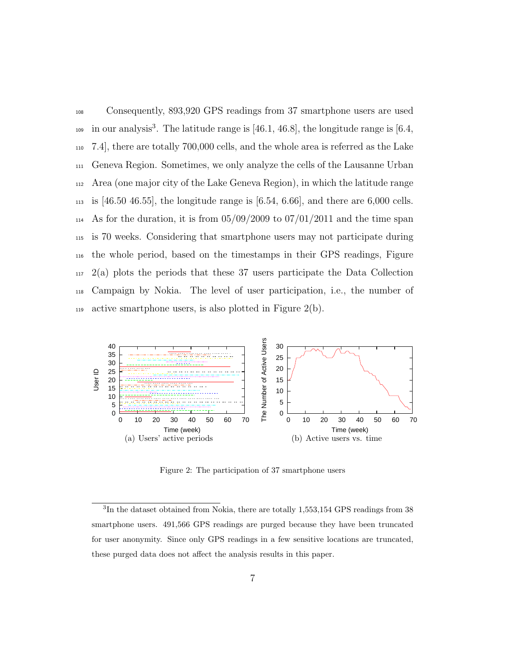<sup>108</sup> Consequently, 893,920 GPS readings from 37 smartphone users are used <sup>109</sup> in our analysis<sup>3</sup>. The latitude range is  $[46.1, 46.8]$ , the longitude range is  $[6.4, 1.6]$ <sup>110</sup> 7.4], there are totally 700,000 cells, and the whole area is referred as the Lake <sup>111</sup> Geneva Region. Sometimes, we only analyze the cells of the Lausanne Urban <sup>112</sup> Area (one major city of the Lake Geneva Region), in which the latitude range 113 is [46.50 46.55], the longitude range is  $[6.54, 6.66]$ , and there are 6,000 cells.  $_{114}$  As for the duration, it is from  $05/09/2009$  to  $07/01/2011$  and the time span <sup>115</sup> is 70 weeks. Considering that smartphone users may not participate during <sup>116</sup> the whole period, based on the timestamps in their GPS readings, Figure  $117 \quad 2(a)$  plots the periods that these 37 users participate the Data Collection <sup>118</sup> Campaign by Nokia. The level of user participation, i.e., the number of 119 active smartphone users, is also plotted in Figure  $2(b)$ .



Figure 2: The participation of 37 smartphone users

<sup>&</sup>lt;sup>3</sup>In the dataset obtained from Nokia, there are totally 1,553,154 GPS readings from 38 smartphone users. 491,566 GPS readings are purged because they have been truncated for user anonymity. Since only GPS readings in a few sensitive locations are truncated, these purged data does not affect the analysis results in this paper.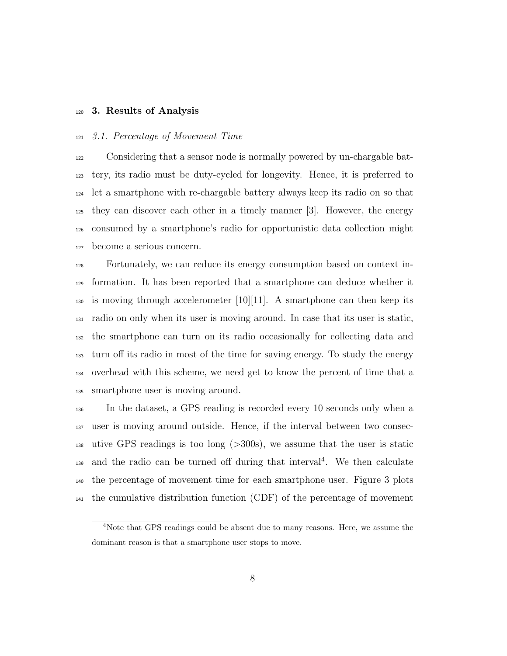#### 3. Results of Analysis

# 3.1. Percentage of Movement Time

 Considering that a sensor node is normally powered by un-chargable bat- tery, its radio must be duty-cycled for longevity. Hence, it is preferred to let a smartphone with re-chargable battery always keep its radio on so that they can discover each other in a timely manner [3]. However, the energy consumed by a smartphone's radio for opportunistic data collection might become a serious concern.

 Fortunately, we can reduce its energy consumption based on context in- formation. It has been reported that a smartphone can deduce whether it 130 is moving through accelerometer  $[10][11]$ . A smartphone can then keep its radio on only when its user is moving around. In case that its user is static, the smartphone can turn on its radio occasionally for collecting data and turn off its radio in most of the time for saving energy. To study the energy overhead with this scheme, we need get to know the percent of time that a smartphone user is moving around.

 In the dataset, a GPS reading is recorded every 10 seconds only when a user is moving around outside. Hence, if the interval between two consec- utive GPS readings is too long (>300s), we assume that the user is static <sup>139</sup> and the radio can be turned off during that interval<sup>4</sup>. We then calculate the percentage of movement time for each smartphone user. Figure 3 plots the cumulative distribution function (CDF) of the percentage of movement

Note that GPS readings could be absent due to many reasons. Here, we assume the dominant reason is that a smartphone user stops to move.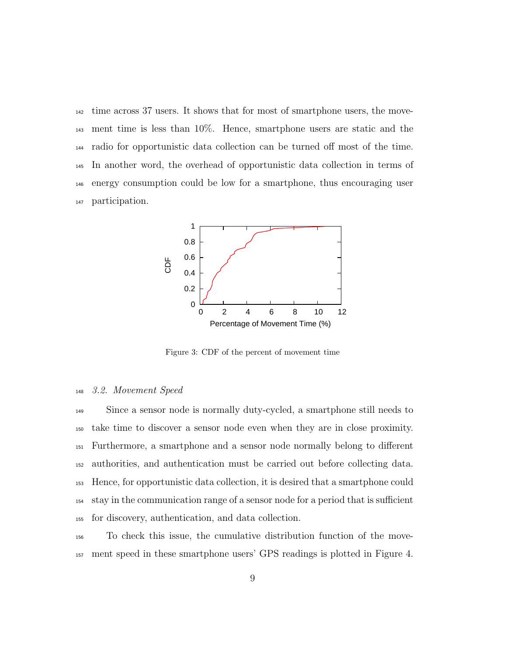time across 37 users. It shows that for most of smartphone users, the move- ment time is less than 10%. Hence, smartphone users are static and the radio for opportunistic data collection can be turned off most of the time. In another word, the overhead of opportunistic data collection in terms of energy consumption could be low for a smartphone, thus encouraging user participation.



Figure 3: CDF of the percent of movement time

#### 3.2. Movement Speed

 Since a sensor node is normally duty-cycled, a smartphone still needs to take time to discover a sensor node even when they are in close proximity. Furthermore, a smartphone and a sensor node normally belong to different authorities, and authentication must be carried out before collecting data. Hence, for opportunistic data collection, it is desired that a smartphone could stay in the communication range of a sensor node for a period that is sufficient for discovery, authentication, and data collection.

 To check this issue, the cumulative distribution function of the move-ment speed in these smartphone users' GPS readings is plotted in Figure 4.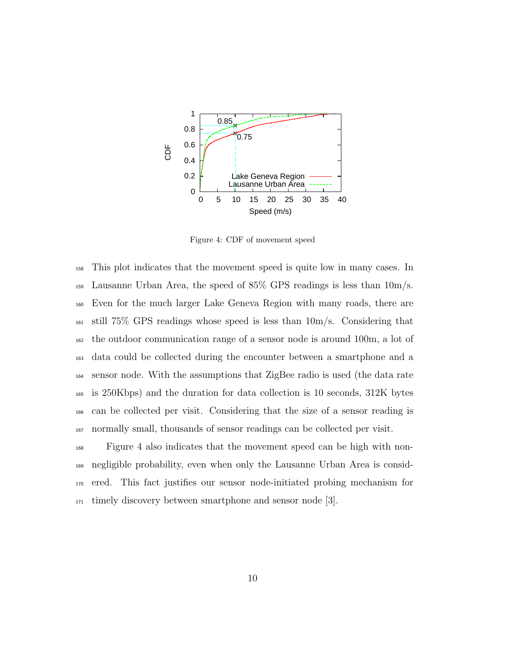

Figure 4: CDF of movement speed

 This plot indicates that the movement speed is quite low in many cases. In 159 Lausanne Urban Area, the speed of  $85\%$  GPS readings is less than  $10m/s$ . Even for the much larger Lake Geneva Region with many roads, there are still 75% GPS readings whose speed is less than 10m/s. Considering that the outdoor communication range of a sensor node is around 100m, a lot of data could be collected during the encounter between a smartphone and a sensor node. With the assumptions that ZigBee radio is used (the data rate is 250Kbps) and the duration for data collection is 10 seconds, 312K bytes can be collected per visit. Considering that the size of a sensor reading is normally small, thousands of sensor readings can be collected per visit.

 Figure 4 also indicates that the movement speed can be high with non- negligible probability, even when only the Lausanne Urban Area is consid- ered. This fact justifies our sensor node-initiated probing mechanism for 171 timely discovery between smartphone and sensor node [3].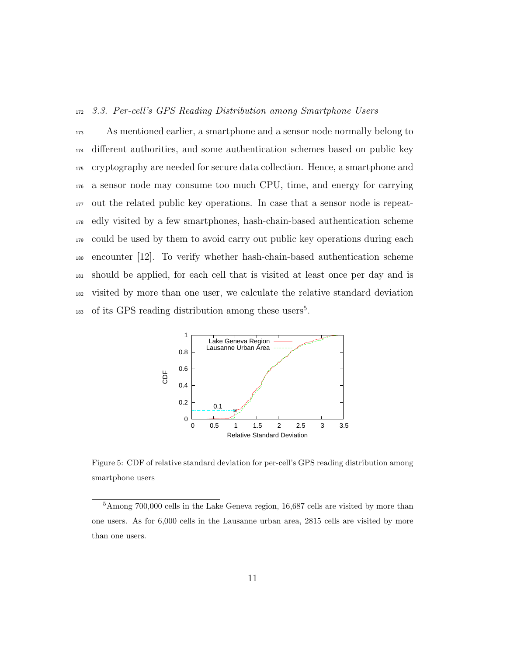# <sup>172</sup> 3.3. Per-cell's GPS Reading Distribution among Smartphone Users

 As mentioned earlier, a smartphone and a sensor node normally belong to different authorities, and some authentication schemes based on public key cryptography are needed for secure data collection. Hence, a smartphone and a sensor node may consume too much CPU, time, and energy for carrying out the related public key operations. In case that a sensor node is repeat- edly visited by a few smartphones, hash-chain-based authentication scheme could be used by them to avoid carry out public key operations during each encounter [12]. To verify whether hash-chain-based authentication scheme should be applied, for each cell that is visited at least once per day and is visited by more than one user, we calculate the relative standard deviation <sup>183</sup> of its GPS reading distribution among these users<sup>5</sup>.



Figure 5: CDF of relative standard deviation for per-cell's GPS reading distribution among smartphone users

<sup>5</sup>Among 700,000 cells in the Lake Geneva region, 16,687 cells are visited by more than one users. As for 6,000 cells in the Lausanne urban area, 2815 cells are visited by more than one users.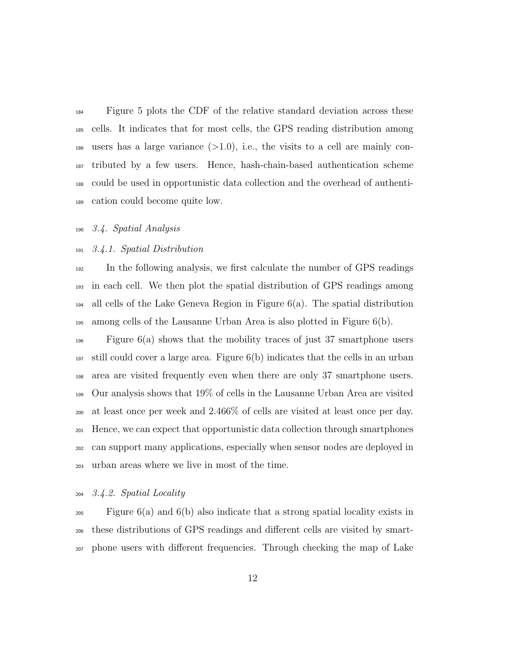Figure 5 plots the CDF of the relative standard deviation across these cells. It indicates that for most cells, the GPS reading distribution among 186 users has a large variance  $(>1.0)$ , i.e., the visits to a cell are mainly con- tributed by a few users. Hence, hash-chain-based authentication scheme could be used in opportunistic data collection and the overhead of authenti-cation could become quite low.

3.4. Spatial Analysis

#### 3.4.1. Spatial Distribution

 In the following analysis, we first calculate the number of GPS readings in each cell. We then plot the spatial distribution of GPS readings among <sup>194</sup> all cells of the Lake Geneva Region in Figure  $6(a)$ . The spatial distribution among cells of the Lausanne Urban Area is also plotted in Figure 6(b).

 Figure 6(a) shows that the mobility traces of just 37 smartphone users still could cover a large area. Figure 6(b) indicates that the cells in an urban area are visited frequently even when there are only 37 smartphone users. Our analysis shows that 19% of cells in the Lausanne Urban Area are visited at least once per week and 2.466% of cells are visited at least once per day. Hence, we can expect that opportunistic data collection through smartphones can support many applications, especially when sensor nodes are deployed in urban areas where we live in most of the time.

3.4.2. Spatial Locality

 Figure 6(a) and 6(b) also indicate that a strong spatial locality exists in these distributions of GPS readings and different cells are visited by smart-phone users with different frequencies. Through checking the map of Lake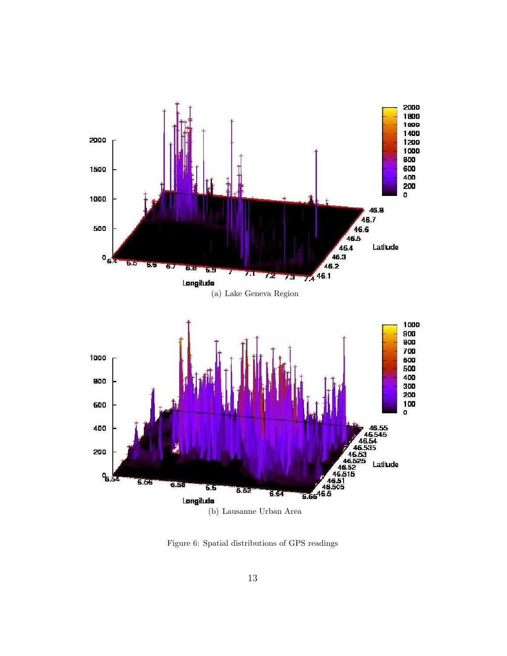

Figure 6: Spatial distributions of GPS readings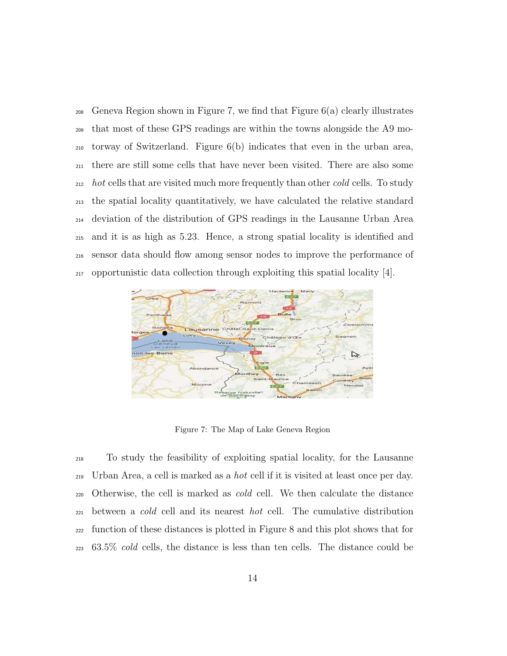Geneva Region shown in Figure 7, we find that Figure 6(a) clearly illustrates that most of these GPS readings are within the towns alongside the A9 mo- torway of Switzerland. Figure 6(b) indicates that even in the urban area, there are still some cells that have never been visited. There are also some <sup>212</sup> hot cells that are visited much more frequently than other cold cells. To study the spatial locality quantitatively, we have calculated the relative standard deviation of the distribution of GPS readings in the Lausanne Urban Area and it is as high as 5.23. Hence, a strong spatial locality is identified and sensor data should flow among sensor nodes to improve the performance of  $_{217}$  opportunistic data collection through exploiting this spatial locality [4].



Figure 7: The Map of Lake Geneva Region

 To study the feasibility of exploiting spatial locality, for the Lausanne Urban Area, a cell is marked as a hot cell if it is visited at least once per day. <sub>220</sub> Otherwise, the cell is marked as *cold* cell. We then calculate the distance between a cold cell and its nearest hot cell. The cumulative distribution function of these distances is plotted in Figure 8 and this plot shows that for 63.5% cold cells, the distance is less than ten cells. The distance could be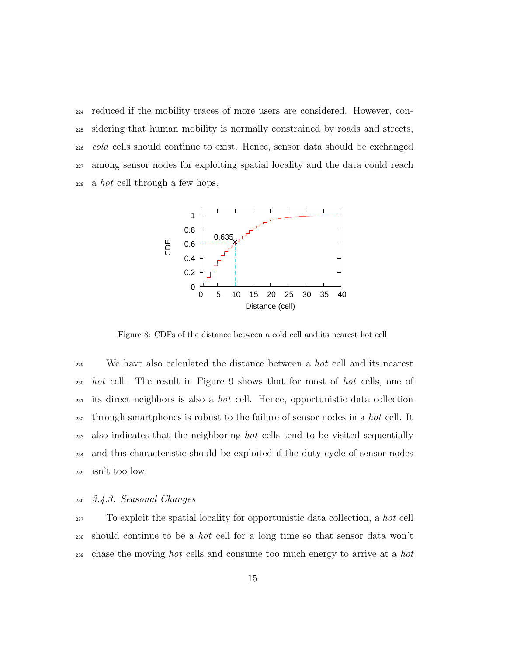reduced if the mobility traces of more users are considered. However, con- sidering that human mobility is normally constrained by roads and streets, <sub>226</sub> cold cells should continue to exist. Hence, sensor data should be exchanged among sensor nodes for exploiting spatial locality and the data could reach a hot cell through a few hops.



Figure 8: CDFs of the distance between a cold cell and its nearest hot cell

<sup>229</sup> We have also calculated the distance between a *hot* cell and its nearest <sub>230</sub> hot cell. The result in Figure 9 shows that for most of hot cells, one of <sup>231</sup> its direct neighbors is also a hot cell. Hence, opportunistic data collection <sup>232</sup> through smartphones is robust to the failure of sensor nodes in a *hot* cell. It <sup>233</sup> also indicates that the neighboring *hot* cells tend to be visited sequentially <sup>234</sup> and this characteristic should be exploited if the duty cycle of sensor nodes <sup>235</sup> isn't too low.

# <sup>236</sup> 3.4.3. Seasonal Changes

<sup>237</sup> To exploit the spatial locality for opportunistic data collection, a *hot* cell <sup>238</sup> should continue to be a hot cell for a long time so that sensor data won't  $_{239}$  chase the moving *hot* cells and consume too much energy to arrive at a *hot*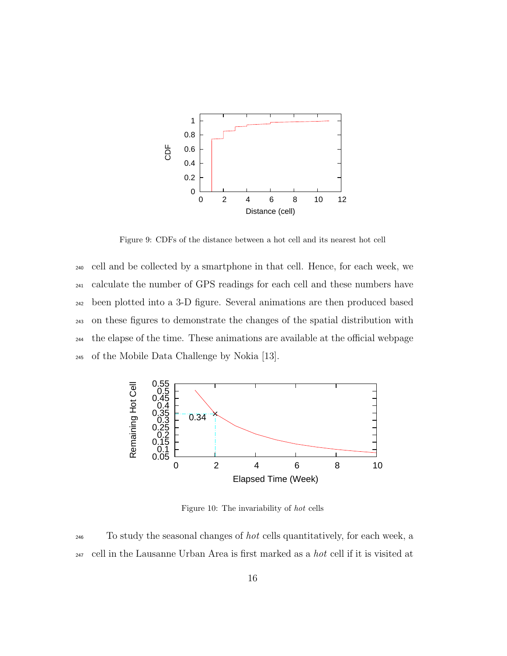

Figure 9: CDFs of the distance between a hot cell and its nearest hot cell

 cell and be collected by a smartphone in that cell. Hence, for each week, we calculate the number of GPS readings for each cell and these numbers have been plotted into a 3-D figure. Several animations are then produced based on these figures to demonstrate the changes of the spatial distribution with the elapse of the time. These animations are available at the official webpage of the Mobile Data Challenge by Nokia [13].



Figure 10: The invariability of hot cells

<sup>246</sup> To study the seasonal changes of hot cells quantitatively, for each week, a  $_{247}$  cell in the Lausanne Urban Area is first marked as a *hot* cell if it is visited at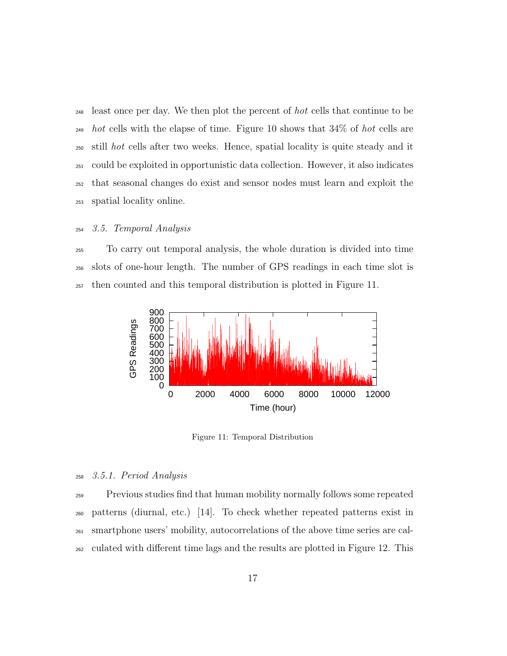least once per day. We then plot the percent of hot cells that continue to be  $_{249}$  hot cells with the elapse of time. Figure 10 shows that 34\% of hot cells are still hot cells after two weeks. Hence, spatial locality is quite steady and it could be exploited in opportunistic data collection. However, it also indicates that seasonal changes do exist and sensor nodes must learn and exploit the spatial locality online.

#### 3.5. Temporal Analysis

 To carry out temporal analysis, the whole duration is divided into time slots of one-hour length. The number of GPS readings in each time slot is then counted and this temporal distribution is plotted in Figure 11.



Figure 11: Temporal Distribution

# 3.5.1. Period Analysis

 Previous studies find that human mobility normally follows some repeated patterns (diurnal, etc.) [14]. To check whether repeated patterns exist in smartphone users' mobility, autocorrelations of the above time series are cal-culated with different time lags and the results are plotted in Figure 12. This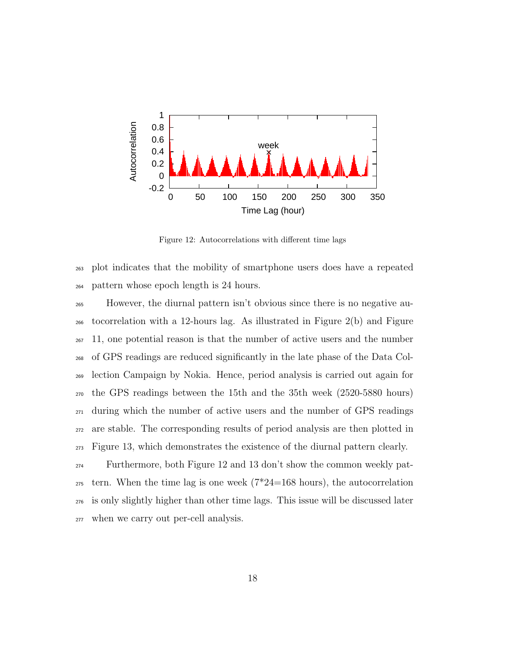

Figure 12: Autocorrelations with different time lags

 plot indicates that the mobility of smartphone users does have a repeated pattern whose epoch length is 24 hours.

 However, the diurnal pattern isn't obvious since there is no negative au- tocorrelation with a 12-hours lag. As illustrated in Figure 2(b) and Figure 11, one potential reason is that the number of active users and the number of GPS readings are reduced significantly in the late phase of the Data Col- lection Campaign by Nokia. Hence, period analysis is carried out again for the GPS readings between the 15th and the 35th week (2520-5880 hours) during which the number of active users and the number of GPS readings are stable. The corresponding results of period analysis are then plotted in Figure 13, which demonstrates the existence of the diurnal pattern clearly.

 Furthermore, both Figure 12 and 13 don't show the common weekly pat- tern. When the time lag is one week ( $7*24=168$  hours), the autocorrelation is only slightly higher than other time lags. This issue will be discussed later when we carry out per-cell analysis.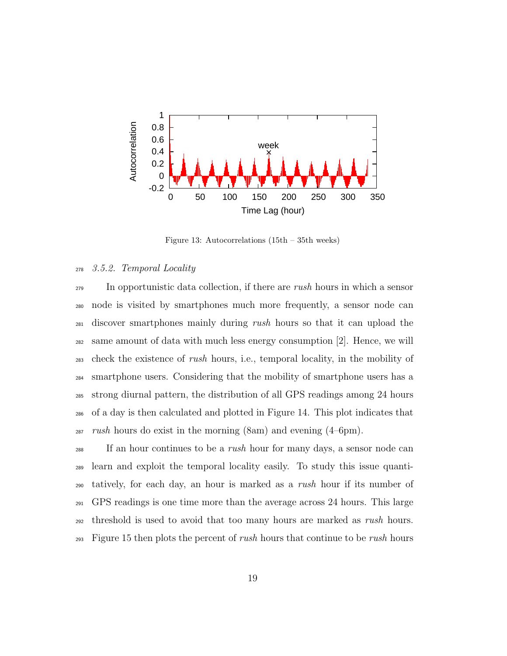

Figure 13: Autocorrelations (15th – 35th weeks)

# <sup>278</sup> 3.5.2. Temporal Locality

<sup>279</sup> In opportunistic data collection, if there are *rush* hours in which a sensor node is visited by smartphones much more frequently, a sensor node can <sup>281</sup> discover smartphones mainly during *rush* hours so that it can upload the same amount of data with much less energy consumption [2]. Hence, we will <sub>283</sub> check the existence of *rush* hours, i.e., temporal locality, in the mobility of smartphone users. Considering that the mobility of smartphone users has a strong diurnal pattern, the distribution of all GPS readings among 24 hours of a day is then calculated and plotted in Figure 14. This plot indicates that rush hours do exist in the morning (8am) and evening (4–6pm).

<sup>288</sup> If an hour continues to be a *rush* hour for many days, a sensor node can <sup>289</sup> learn and exploit the temporal locality easily. To study this issue quanti-<sup>290</sup> tatively, for each day, an hour is marked as a rush hour if its number of <sup>291</sup> GPS readings is one time more than the average across 24 hours. This large <sub>292</sub> threshold is used to avoid that too many hours are marked as *rush* hours.  $F_{293}$  Figure 15 then plots the percent of *rush* hours that continue to be *rush* hours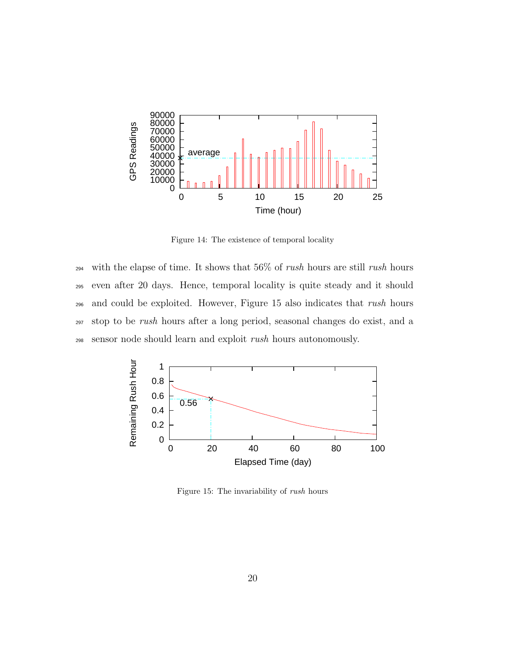

Figure 14: The existence of temporal locality

<sup>294</sup> with the elapse of time. It shows that  $56\%$  of *rush* hours are still *rush* hours even after 20 days. Hence, temporal locality is quite steady and it should and could be exploited. However, Figure 15 also indicates that rush hours stop to be rush hours after a long period, seasonal changes do exist, and a sensor node should learn and exploit rush hours autonomously.



Figure 15: The invariability of rush hours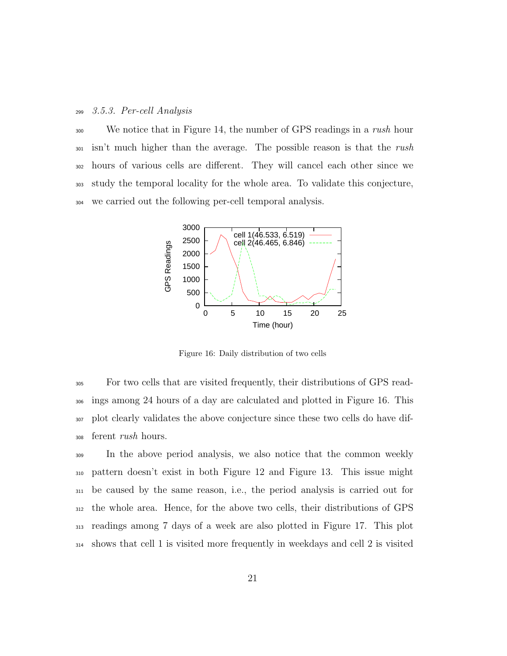# 3.5.3. Per-cell Analysis

<sup>300</sup> We notice that in Figure 14, the number of GPS readings in a *rush* hour isn't much higher than the average. The possible reason is that the rush hours of various cells are different. They will cancel each other since we study the temporal locality for the whole area. To validate this conjecture, we carried out the following per-cell temporal analysis.



Figure 16: Daily distribution of two cells

 For two cells that are visited frequently, their distributions of GPS read- ings among 24 hours of a day are calculated and plotted in Figure 16. This plot clearly validates the above conjecture since these two cells do have dif-ferent rush hours.

 In the above period analysis, we also notice that the common weekly pattern doesn't exist in both Figure 12 and Figure 13. This issue might be caused by the same reason, i.e., the period analysis is carried out for the whole area. Hence, for the above two cells, their distributions of GPS readings among 7 days of a week are also plotted in Figure 17. This plot shows that cell 1 is visited more frequently in weekdays and cell 2 is visited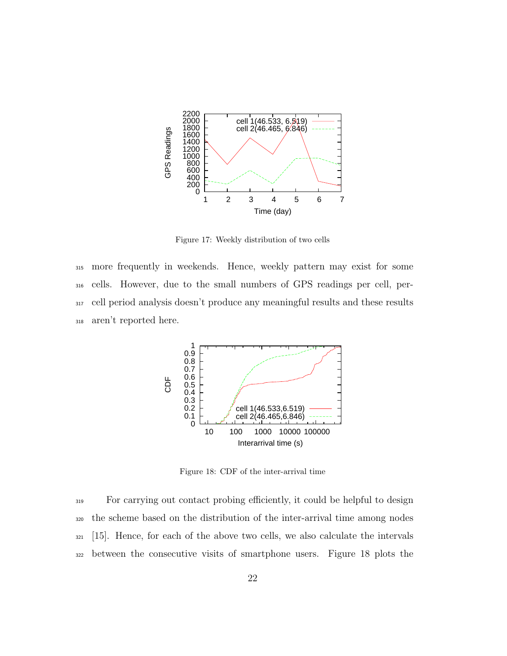

Figure 17: Weekly distribution of two cells

 more frequently in weekends. Hence, weekly pattern may exist for some cells. However, due to the small numbers of GPS readings per cell, per- cell period analysis doesn't produce any meaningful results and these results aren't reported here.



Figure 18: CDF of the inter-arrival time

 For carrying out contact probing efficiently, it could be helpful to design the scheme based on the distribution of the inter-arrival time among nodes [15]. Hence, for each of the above two cells, we also calculate the intervals between the consecutive visits of smartphone users. Figure 18 plots the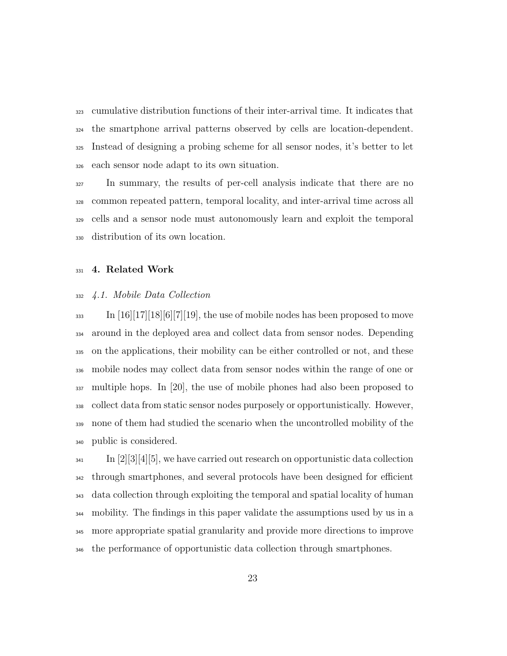cumulative distribution functions of their inter-arrival time. It indicates that the smartphone arrival patterns observed by cells are location-dependent. Instead of designing a probing scheme for all sensor nodes, it's better to let each sensor node adapt to its own situation.

 In summary, the results of per-cell analysis indicate that there are no common repeated pattern, temporal locality, and inter-arrival time across all cells and a sensor node must autonomously learn and exploit the temporal distribution of its own location.

# 4. Related Work

# 4.1. Mobile Data Collection

 $\text{Im} \left[16\right]\left[17\right]\left[18\right]\left[6\right]\left[7\right]\left[19\right],$  the use of mobile nodes has been proposed to move around in the deployed area and collect data from sensor nodes. Depending on the applications, their mobility can be either controlled or not, and these mobile nodes may collect data from sensor nodes within the range of one or multiple hops. In [20], the use of mobile phones had also been proposed to collect data from static sensor nodes purposely or opportunistically. However, none of them had studied the scenario when the uncontrolled mobility of the public is considered.

 $\text{Im }|2||3||4||5$ , we have carried out research on opportunistic data collection through smartphones, and several protocols have been designed for efficient data collection through exploiting the temporal and spatial locality of human mobility. The findings in this paper validate the assumptions used by us in a more appropriate spatial granularity and provide more directions to improve the performance of opportunistic data collection through smartphones.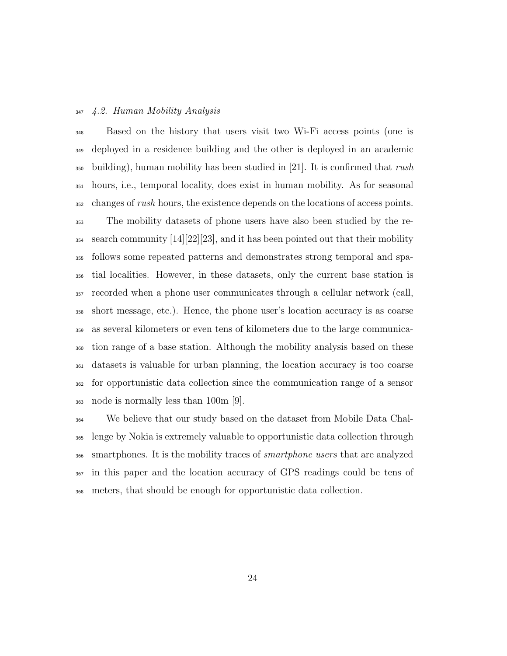# 4.2. Human Mobility Analysis

 Based on the history that users visit two Wi-Fi access points (one is deployed in a residence building and the other is deployed in an academic building), human mobility has been studied in [21]. It is confirmed that rush hours, i.e., temporal locality, does exist in human mobility. As for seasonal changes of *rush* hours, the existence depends on the locations of access points. The mobility datasets of phone users have also been studied by the re- search community  $[14][22][23]$ , and it has been pointed out that their mobility follows some repeated patterns and demonstrates strong temporal and spa- tial localities. However, in these datasets, only the current base station is recorded when a phone user communicates through a cellular network (call, short message, etc.). Hence, the phone user's location accuracy is as coarse as several kilometers or even tens of kilometers due to the large communica- tion range of a base station. Although the mobility analysis based on these datasets is valuable for urban planning, the location accuracy is too coarse for opportunistic data collection since the communication range of a sensor node is normally less than 100m [9].

 We believe that our study based on the dataset from Mobile Data Chal- lenge by Nokia is extremely valuable to opportunistic data collection through <sub>366</sub> smartphones. It is the mobility traces of *smartphone users* that are analyzed in this paper and the location accuracy of GPS readings could be tens of meters, that should be enough for opportunistic data collection.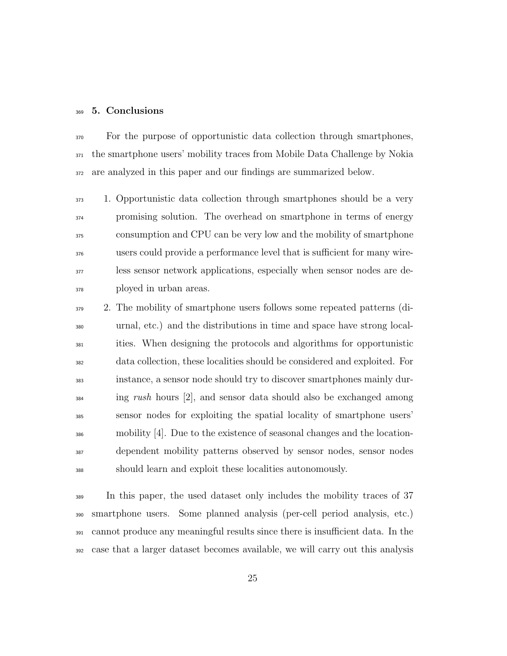# 5. Conclusions

<sup>370</sup> For the purpose of opportunistic data collection through smartphones, the smartphone users' mobility traces from Mobile Data Challenge by Nokia are analyzed in this paper and our findings are summarized below.

 1. Opportunistic data collection through smartphones should be a very promising solution. The overhead on smartphone in terms of energy consumption and CPU can be very low and the mobility of smartphone users could provide a performance level that is sufficient for many wire- less sensor network applications, especially when sensor nodes are de-ployed in urban areas.

 2. The mobility of smartphone users follows some repeated patterns (di- urnal, etc.) and the distributions in time and space have strong local- ities. When designing the protocols and algorithms for opportunistic data collection, these localities should be considered and exploited. For instance, a sensor node should try to discover smartphones mainly dur-<sup>384</sup> ing *rush* hours [2], and sensor data should also be exchanged among sensor nodes for exploiting the spatial locality of smartphone users' mobility [4]. Due to the existence of seasonal changes and the location- dependent mobility patterns observed by sensor nodes, sensor nodes should learn and exploit these localities autonomously.

 In this paper, the used dataset only includes the mobility traces of 37 smartphone users. Some planned analysis (per-cell period analysis, etc.) cannot produce any meaningful results since there is insufficient data. In the case that a larger dataset becomes available, we will carry out this analysis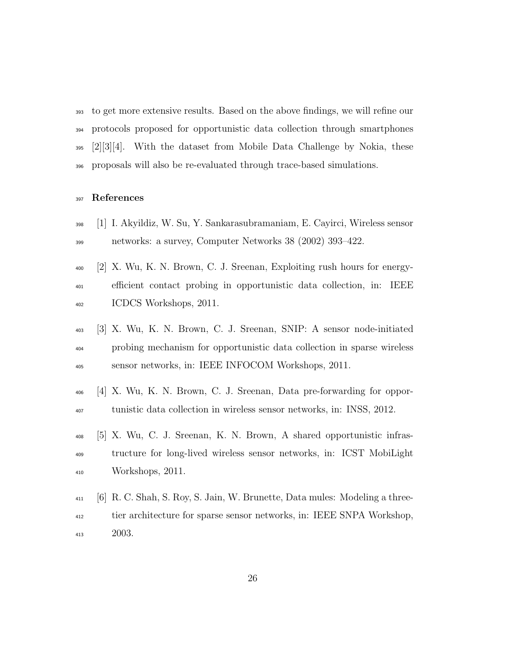to get more extensive results. Based on the above findings, we will refine our protocols proposed for opportunistic data collection through smartphones [2][3][4]. With the dataset from Mobile Data Challenge by Nokia, these proposals will also be re-evaluated through trace-based simulations.

# 397 References

- [1] I. Akyildiz, W. Su, Y. Sankarasubramaniam, E. Cayirci, Wireless sensor networks: a survey, Computer Networks 38 (2002) 393–422.
- [2] X. Wu, K. N. Brown, C. J. Sreenan, Exploiting rush hours for energy- efficient contact probing in opportunistic data collection, in: IEEE ICDCS Workshops, 2011.
- [3] X. Wu, K. N. Brown, C. J. Sreenan, SNIP: A sensor node-initiated probing mechanism for opportunistic data collection in sparse wireless sensor networks, in: IEEE INFOCOM Workshops, 2011.
- [4] X. Wu, K. N. Brown, C. J. Sreenan, Data pre-forwarding for oppor-tunistic data collection in wireless sensor networks, in: INSS, 2012.
- [5] X. Wu, C. J. Sreenan, K. N. Brown, A shared opportunistic infras- tructure for long-lived wireless sensor networks, in: ICST MobiLight Workshops, 2011.
- [6] R. C. Shah, S. Roy, S. Jain, W. Brunette, Data mules: Modeling a three- tier architecture for sparse sensor networks, in: IEEE SNPA Workshop, 2003.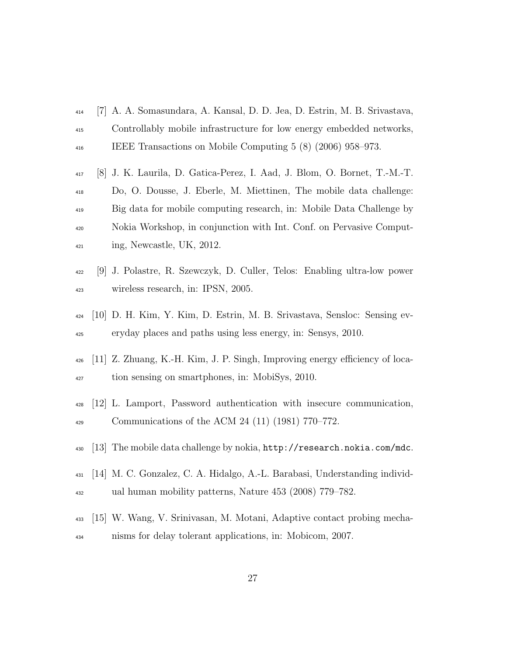- [7] A. A. Somasundara, A. Kansal, D. D. Jea, D. Estrin, M. B. Srivastava, Controllably mobile infrastructure for low energy embedded networks, IEEE Transactions on Mobile Computing 5 (8) (2006) 958–973.
- [8] J. K. Laurila, D. Gatica-Perez, I. Aad, J. Blom, O. Bornet, T.-M.-T. Do, O. Dousse, J. Eberle, M. Miettinen, The mobile data challenge: Big data for mobile computing research, in: Mobile Data Challenge by Nokia Workshop, in conjunction with Int. Conf. on Pervasive Comput-ing, Newcastle, UK, 2012.
- [9] J. Polastre, R. Szewczyk, D. Culler, Telos: Enabling ultra-low power wireless research, in: IPSN, 2005.
- [10] D. H. Kim, Y. Kim, D. Estrin, M. B. Srivastava, Sensloc: Sensing ev-eryday places and paths using less energy, in: Sensys, 2010.
- [11] Z. Zhuang, K.-H. Kim, J. P. Singh, Improving energy efficiency of loca-<sup>427</sup> tion sensing on smartphones, in: MobiSys, 2010.
- [12] L. Lamport, Password authentication with insecure communication, Communications of the ACM 24 (11) (1981) 770–772.
- [13] The mobile data challenge by nokia, http://research.nokia.com/mdc.
- [14] M. C. Gonzalez, C. A. Hidalgo, A.-L. Barabasi, Understanding individ-ual human mobility patterns, Nature 453 (2008) 779–782.
- [15] W. Wang, V. Srinivasan, M. Motani, Adaptive contact probing mecha-nisms for delay tolerant applications, in: Mobicom, 2007.